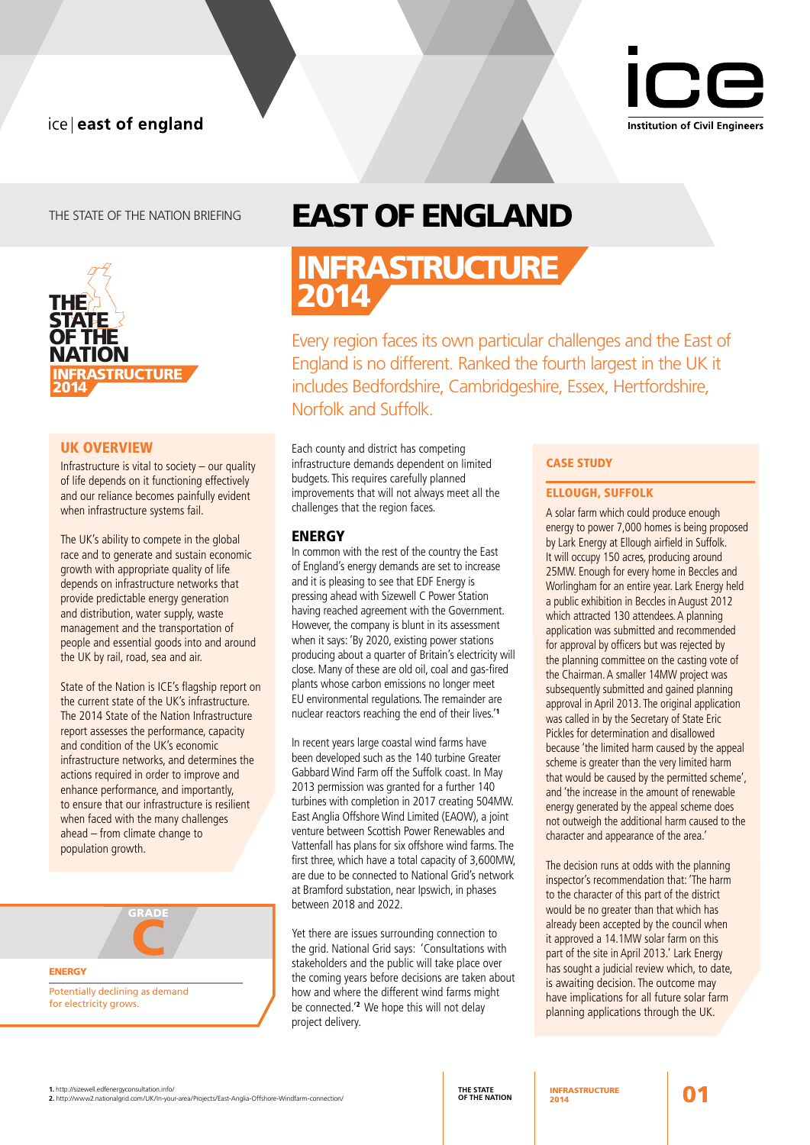# ice | east of england



# THE STATE OF THE NATION BRIEFING



# UK OVERVIEW

Infrastructure is vital to society – our quality of life depends on it functioning effectively and our reliance becomes painfully evident when infrastructure systems fail.

The UK's ability to compete in the global race and to generate and sustain economic growth with appropriate quality of life depends on infrastructure networks that provide predictable energy generation and distribution, water supply, waste management and the transportation of people and essential goods into and around the UK by rail, road, sea and air.

State of the Nation is ICE's flagship report on the current state of the UK's infrastructure. The 2014 State of the Nation Infrastructure report assesses the performance, capacity and condition of the UK's economic infrastructure networks, and determines the actions required in order to improve and enhance performance, and importantly, to ensure that our infrastructure is resilient when faced with the many challenges ahead – from climate change to population growth.



# EAST OF ENGLAND

INFRASTRUCTURE 2014

Every region faces its own particular challenges and the East of England is no different. Ranked the fourth largest in the UK it includes Bedfordshire, Cambridgeshire, Essex, Hertfordshire, Norfolk and Suffolk.

Each county and district has competing infrastructure demands dependent on limited budgets. This requires carefully planned improvements that will not always meet all the challenges that the region faces.

# **ENERGY**

In common with the rest of the country the East of England's energy demands are set to increase and it is pleasing to see that EDF Energy is pressing ahead with Sizewell C Power Station having reached agreement with the Government. However, the company is blunt in its assessment when it says: 'By 2020, existing power stations producing about a quarter of Britain's electricity will close. Many of these are old oil, coal and gas-fired plants whose carbon emissions no longer meet EU environmental regulations. The remainder are nuclear reactors reaching the end of their lives.'<sup>1</sup>

In recent years large coastal wind farms have been developed such as the 140 turbine Greater Gabbard Wind Farm off the Suffolk coast. In May 2013 permission was granted for a further 140 turbines with completion in 2017 creating 504MW. East Anglia Offshore Wind Limited (EAOW), a joint venture between Scottish Power Renewables and Vattenfall has plans for six offshore wind farms. The first three, which have a total capacity of 3,600MW, are due to be connected to National Grid's network at Bramford substation, near Ipswich, in phases between 2018 and 2022.

Yet there are issues surrounding connection to the grid. National Grid says: 'Consultations with stakeholders and the public will take place over the coming years before decisions are taken about how and where the different wind farms might be connected.<sup>'2</sup> We hope this will not delay project delivery.

# CASE STUDY

#### ELLOUGH, SUFFOLK

A solar farm which could produce enough energy to power 7,000 homes is being proposed by Lark Energy at Ellough airfield in Suffolk. It will occupy 150 acres, producing around 25MW. Enough for every home in Beccles and Worlingham for an entire year. Lark Energy held a public exhibition in Beccles in August 2012 which attracted 130 attendees. A planning application was submitted and recommended for approval by officers but was rejected by the planning committee on the casting vote of the Chairman. A smaller 14MW project was subsequently submitted and gained planning approval in April 2013. The original application was called in by the Secretary of State Eric Pickles for determination and disallowed because 'the limited harm caused by the appeal scheme is greater than the very limited harm that would be caused by the permitted scheme', and 'the increase in the amount of renewable energy generated by the appeal scheme does not outweigh the additional harm caused to the character and appearance of the area.'

The decision runs at odds with the planning inspector's recommendation that: 'The harm to the character of this part of the district would be no greater than that which has already been accepted by the council when it approved a 14.1MW solar farm on this part of the site in April 2013.' Lark Energy has sought a judicial review which, to date, is awaiting decision. The outcome may have implications for all future solar farm planning applications through the UK.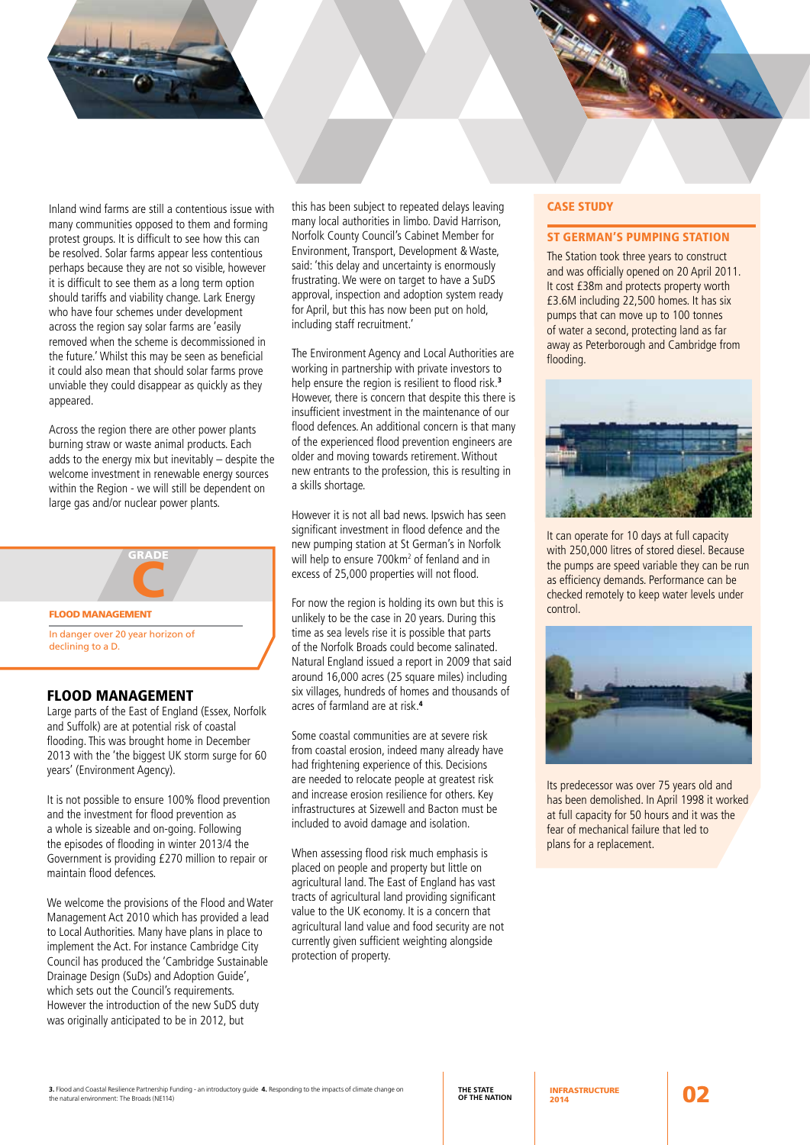Inland wind farms are still a contentious issue with many communities opposed to them and forming protest groups. It is difficult to see how this can be resolved. Solar farms appear less contentious perhaps because they are not so visible, however it is difficult to see them as a long term option should tariffs and viability change. Lark Energy who have four schemes under development across the region say solar farms are 'easily removed when the scheme is decommissioned in the future.' Whilst this may be seen as beneficial it could also mean that should solar farms prove unviable they could disappear as quickly as they appeared.

Across the region there are other power plants burning straw or waste animal products. Each adds to the energy mix but inevitably – despite the welcome investment in renewable energy sources within the Region - we will still be dependent on large gas and/or nuclear power plants.



# FLOOD MANAGEMENT

Large parts of the East of England (Essex, Norfolk and Suffolk) are at potential risk of coastal flooding. This was brought home in December 2013 with the 'the biggest UK storm surge for 60 years' (Environment Agency).

It is not possible to ensure 100% flood prevention and the investment for flood prevention as a whole is sizeable and on-going. Following the episodes of flooding in winter 2013/4 the Government is providing £270 million to repair or maintain flood defences.

We welcome the provisions of the Flood and Water Management Act 2010 which has provided a lead to Local Authorities. Many have plans in place to implement the Act. For instance Cambridge City Council has produced the 'Cambridge Sustainable Drainage Design (SuDs) and Adoption Guide', which sets out the Council's requirements. However the introduction of the new SuDS duty was originally anticipated to be in 2012, but

this has been subject to repeated delays leaving many local authorities in limbo. David Harrison, Norfolk County Council's Cabinet Member for Environment, Transport, Development & Waste, said: 'this delay and uncertainty is enormously frustrating. We were on target to have a SuDS approval, inspection and adoption system ready for April, but this has now been put on hold, including staff recruitment.'

The Environment Agency and Local Authorities are working in partnership with private investors to help ensure the region is resilient to flood risk.<sup>3</sup> However, there is concern that despite this there is insufficient investment in the maintenance of our flood defences. An additional concern is that many of the experienced flood prevention engineers are older and moving towards retirement. Without new entrants to the profession, this is resulting in a skills shortage.

However it is not all bad news. Ipswich has seen significant investment in flood defence and the new pumping station at St German's in Norfolk will help to ensure 700km<sup>2</sup> of fenland and in excess of 25,000 properties will not flood.

For now the region is holding its own but this is unlikely to be the case in 20 years. During this time as sea levels rise it is possible that parts of the Norfolk Broads could become salinated. Natural England issued a report in 2009 that said around 16,000 acres (25 square miles) including six villages, hundreds of homes and thousands of acres of farmland are at risk.<sup>4</sup>

Some coastal communities are at severe risk from coastal erosion, indeed many already have had frightening experience of this. Decisions are needed to relocate people at greatest risk and increase erosion resilience for others. Key infrastructures at Sizewell and Bacton must be included to avoid damage and isolation.

When assessing flood risk much emphasis is placed on people and property but little on agricultural land. The East of England has vast tracts of agricultural land providing significant value to the UK economy. It is a concern that agricultural land value and food security are not currently given sufficient weighting alongside protection of property.

#### CASE STUDY

#### ST GERMAN'S PUMPING STATION

The Station took three years to construct and was officially opened on 20 April 2011. It cost £38m and protects property worth £3.6M including 22,500 homes. It has six pumps that can move up to 100 tonnes of water a second, protecting land as far away as Peterborough and Cambridge from flooding.



It can operate for 10 days at full capacity with 250,000 litres of stored diesel. Because the pumps are speed variable they can be run as efficiency demands. Performance can be checked remotely to keep water levels under control.



Its predecessor was over 75 years old and has been demolished. In April 1998 it worked at full capacity for 50 hours and it was the fear of mechanical failure that led to plans for a replacement.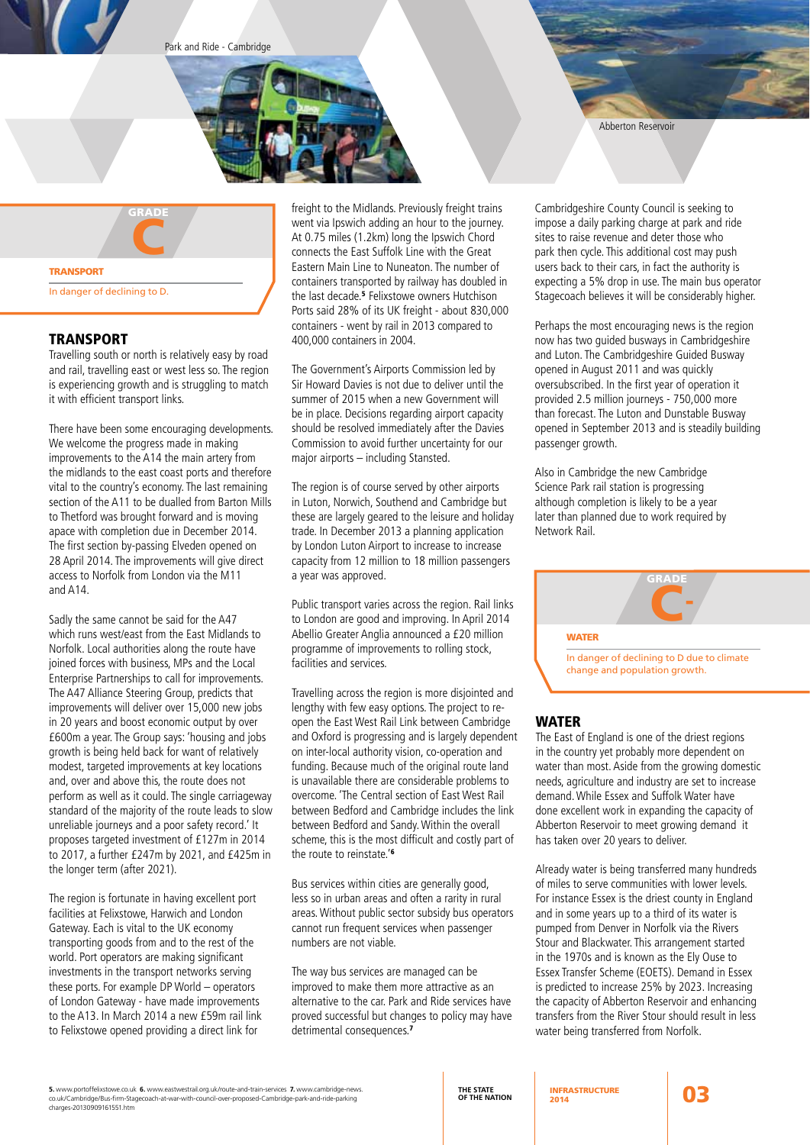Park and Ride - Cambridge





# TRANSPORT

Travelling south or north is relatively easy by road and rail, travelling east or west less so. The region is experiencing growth and is struggling to match it with efficient transport links.

There have been some encouraging developments. We welcome the progress made in making improvements to the A14 the main artery from the midlands to the east coast ports and therefore vital to the country's economy. The last remaining section of the A11 to be dualled from Barton Mills to Thetford was brought forward and is moving apace with completion due in December 2014. The first section by-passing Elveden opened on 28 April 2014. The improvements will give direct access to Norfolk from London via the M11 and A14.

Sadly the same cannot be said for the A47 which runs west/east from the East Midlands to Norfolk. Local authorities along the route have joined forces with business, MPs and the Local Enterprise Partnerships to call for improvements. The A47 Alliance Steering Group, predicts that improvements will deliver over 15,000 new jobs in 20 years and boost economic output by over £600m a year. The Group says: 'housing and jobs growth is being held back for want of relatively modest, targeted improvements at key locations and, over and above this, the route does not perform as well as it could. The single carriageway standard of the majority of the route leads to slow unreliable journeys and a poor safety record.' It proposes targeted investment of £127m in 2014 to 2017, a further £247m by 2021, and £425m in the longer term (after 2021).

The region is fortunate in having excellent port facilities at Felixstowe, Harwich and London Gateway. Each is vital to the UK economy transporting goods from and to the rest of the world. Port operators are making significant investments in the transport networks serving these ports. For example DP World – operators of London Gateway - have made improvements to the A13. In March 2014 a new £59m rail link to Felixstowe opened providing a direct link for

freight to the Midlands. Previously freight trains went via Ipswich adding an hour to the journey. At 0.75 miles (1.2km) long the Ipswich Chord connects the East Suffolk Line with the Great Eastern Main Line to Nuneaton. The number of containers transported by railway has doubled in the last decade.<sup>5</sup> Felixstowe owners Hutchison Ports said 28% of its UK freight - about 830,000 containers - went by rail in 2013 compared to 400,000 containers in 2004.

The Government's Airports Commission led by Sir Howard Davies is not due to deliver until the summer of 2015 when a new Government will be in place. Decisions regarding airport capacity should be resolved immediately after the Davies Commission to avoid further uncertainty for our major airports – including Stansted.

The region is of course served by other airports in Luton, Norwich, Southend and Cambridge but these are largely geared to the leisure and holiday trade. In December 2013 a planning application by London Luton Airport to increase to increase capacity from 12 million to 18 million passengers a year was approved.

Public transport varies across the region. Rail links to London are good and improving. In April 2014 Abellio Greater Anglia announced a £20 million programme of improvements to rolling stock, facilities and services.

Travelling across the region is more disjointed and lengthy with few easy options. The project to reopen the East West Rail Link between Cambridge and Oxford is progressing and is largely dependent on inter-local authority vision, co-operation and funding. Because much of the original route land is unavailable there are considerable problems to overcome. 'The Central section of East West Rail between Bedford and Cambridge includes the link between Bedford and Sandy. Within the overall scheme, this is the most difficult and costly part of the route to reinstate.'<sup>6</sup>

Bus services within cities are generally good, less so in urban areas and often a rarity in rural areas. Without public sector subsidy bus operators cannot run frequent services when passenger numbers are not viable.

The way bus services are managed can be improved to make them more attractive as an alternative to the car. Park and Ride services have proved successful but changes to policy may have detrimental consequences.<sup>7</sup>

Abberton Reservoir

Cambridgeshire County Council is seeking to impose a daily parking charge at park and ride sites to raise revenue and deter those who park then cycle. This additional cost may push users back to their cars, in fact the authority is expecting a 5% drop in use. The main bus operator Stagecoach believes it will be considerably higher.

Perhaps the most encouraging news is the region now has two guided busways in Cambridgeshire and Luton. The Cambridgeshire Guided Busway opened in August 2011 and was quickly oversubscribed. In the first year of operation it provided 2.5 million journeys - 750,000 more than forecast. The Luton and Dunstable Busway opened in September 2013 and is steadily building passenger growth.

Also in Cambridge the new Cambridge Science Park rail station is progressing although completion is likely to be a year later than planned due to work required by Network Rail.



#### WATER

The East of England is one of the driest regions in the country yet probably more dependent on water than most. Aside from the growing domestic needs, agriculture and industry are set to increase demand. While Essex and Suffolk Water have done excellent work in expanding the capacity of Abberton Reservoir to meet growing demand it has taken over 20 years to deliver.

Already water is being transferred many hundreds of miles to serve communities with lower levels. For instance Essex is the driest county in England and in some years up to a third of its water is pumped from Denver in Norfolk via the Rivers Stour and Blackwater. This arrangement started in the 1970s and is known as the Ely Ouse to Essex Transfer Scheme (EOETS). Demand in Essex is predicted to increase 25% by 2023. Increasing the capacity of Abberton Reservoir and enhancing transfers from the River Stour should result in less water being transferred from Norfolk.